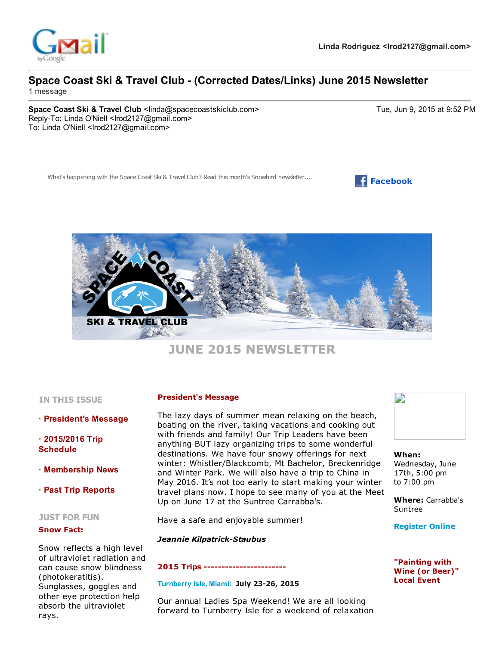

# Space Coast Ski & Travel Club - (Corrected Dates/Links) June 2015 Newsletter

1 message

Space Coast Ski & Travel Club <linda@spacecoastskiclub.com> Tue, Jun 9, 2015 at 9:52 PM Reply-To: Linda O'Niell <lrod2127@gmail.com> To: Linda O'Niell <lrod2127@gmail.com>

What's happening with the Space Coast Ski & Travel Club? Read this month'





# JUNE 2015 NEWSLETTER

# IN THIS ISSUE

· President's Message

 $\cdot$  2015/2016 Trip Schedule

- · Membership News
- · Past Trip Reports

## JUST FOR FUN

## Snow Fact:

Snow reflects a high level of ultraviolet radiation and can cause snow blindness (photokeratitis). Sunglasses, goggles and other eye protection help absorb the ultraviolet rays.

## President's Message

The lazy days of summer mean relaxing on the beach, boating on the river, taking vacations and cooking out with friends and family! Our Trip Leaders have been anything BUT lazy organizing trips to some wonderful destinations. We have four snowy offerings for next winter: Whistler/Blackcomb, Mt Bachelor, Breckenridge and Winter Park. We will also have a trip to China in May 2016. It's not too early to start making your winter travel plans now. I hope to see many of you at the Meet Up on June 17 at the Suntree Carrabba's.

Have a safe and enjoyable summer!

## **Jeannie Kilpatrick-Staubus**

## 2015 Trips

## Turnberry Isle, Miami: July 23-26, 2015

Our annual Ladies Spa Weekend! We are all looking forward to Turnberry Isle for a weekend of relaxation



When: Wednesday, June 17th, 5:00 pm

to 7:00 pm Where: Carrabba's

Suntree

## [Register](http://www.spacecoastskiclub.com/EmailTracker/LinkTracker.ashx?linkAndRecipientCode=mgOgyR52Nu32Kc5jpWWZH6ulKe7IgAeiY%2fLf21VjlCDlqMLC8B7SSODljoOlnh4DZRANNf8n80vZF5ZE%2bVCw4nNusnxtU%2b9OaFU7tFVnjK4%3d) Online

"Painting with Wine (or Beer)" Local Event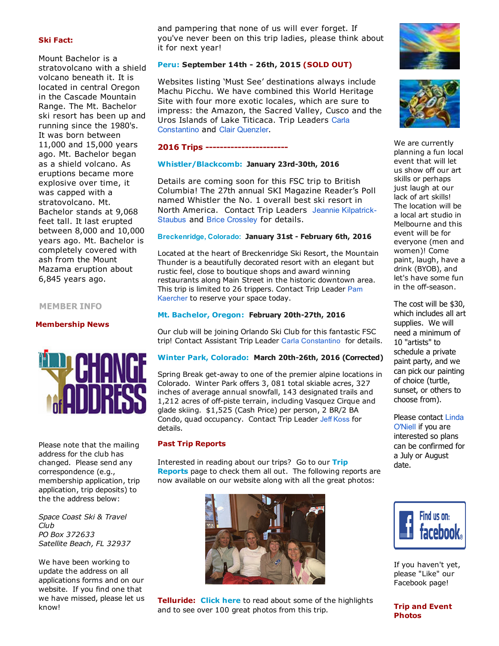## Ski Fact:

Mount Bachelor is a stratovolcano with a shield volcano beneath it. It is located in central Oregon in the Cascade Mountain Range. The Mt. Bachelor ski resort has been up and running since the 1980's. It was born between 11,000 and 15,000 years ago. Mt. Bachelor began as a shield volcano. As eruptions became more explosive over time, it was capped with a stratovolcano. Mt. Bachelor stands at 9,068 feet tall. It last erupted between 8,000 and 10,000 years ago. Mt. Bachelor is completely covered with ash from the Mount Mazama eruption about 6,845 years ago.

## MEMBER INFO

Membership News



Please note that the mailing address for the club has changed. Please send any correspondence (e.g., membership application, trip application, trip deposits) to the the address below:

*Space Coast Ski & Travel Club PO Box 372633 Satellite Beach, FL 32937*

We have been working to update the address on all applications forms and on our website. If you find one that we have missed, please let us know!

and pampering that none of us will ever forget. If you've never been on this trip ladies, please think about it for next year!

## [Peru:](http://www.spacecoastskiclub.com/EmailTracker/LinkTracker.ashx?linkAndRecipientCode=Q6VZ8tpcaITbsOf0UojaNfa4acrFRvO0sjwCKzfHz1MTqTcI2vfM3MUVAHu9yONrRNPmoBBOgdluYhfIEl1o9015ak0whJLQEoEEtZ1tGQQ%3d) September 14th - 26th, 2015 (SOLD OUT)

Websites listing 'Must See' destinations always include Machu Picchu. We have combined this World Heritage Site with four more exotic locales, which are sure to impress: the Amazon, the Sacred Valley, Cusco and the Uros Islands of Lake Titicaca. Trip Leaders Carla Constantino and Clair Quenzler.

#### 2016 Trips

#### [Whistler/Blackcomb:](http://www.spacecoastskiclub.com/EmailTracker/LinkTracker.ashx?linkAndRecipientCode=fpF8AegpjGSp%2feZgAm7DAlogb8WIgO5i%2fu9Kq4W3eHVrY9eMjTwoL2XXapVCa1uX4ktyDUuA9RWeC%2fMAHvFGKtv%2bAk4SmfFbXFEmyVnUBYk%3d) January 23rd-30th, 2016

Details are coming soon for this FSC trip to British Columbia! The 27th annual SKI Magazine Reader's Poll named Whistler the No. 1 overall best ski resort in North [America.](mailto:Jeannie@SpaceCoastSkiClub.com) Contact Trip Leaders Jeannie Kilpatrick-Staubus and Brice Crossley for details.

#### Breckenridge, Colorado: January 31st - February 6th, 2016

Located at the heart of Breckenridge Ski Resort, the Mountain Thunder is a beautifully decorated resort with an elegant but rustic feel, close to boutique shops and award winning restaurants along Main Street in the historic downtown area. This trip is limited to 26 trippers. Contact Trip Leader Pam Kaercher to reserve your space today.

## Mt. [Bachelor,](http://www.spacecoastskiclub.com/EmailTracker/LinkTracker.ashx?linkAndRecipientCode=rF0BJmMkJ73IgjTG6lVbHHr2xKBRcMRdPFQwx%2bwomW7QjWm3bg%2f5EqSLfpxEjxhJvhm8FRO4GV5aI7fWkC1ztHb0BlUhqa4LbLbsJczzZmU%3d) Oregon: February 20th-27th, 2016

Our club will be joining Orlando Ski Club for this fantastic FSC trip! Contact Assistant Trip Leader Carla Constantino for details.

## Winter Park, [Colorado:](http://www.spacecoastskiclub.com/EmailTracker/LinkTracker.ashx?linkAndRecipientCode=b1bu1PWYjlqsapPFkK5rGuW8%2bldjw8aWJAZSPhQI0rw%2bcSlZElGZLMhRn02a6MD1Gldv4s3rekxinHTx7xelUUKqzDH48CtGW3d4XMFY86E%3d) March 20th-26th, 2016 (Corrected)

Spring Break get-away to one of the premier alpine locations in Colorado. Winter Park offers 3, 081 total skiable acres, 327 inches of average annual snowfall, 143 designated trails and 1,212 acres of off-piste terrain, including Vasquez Cirque and glade skiing. \$1,525 (Cash Price) per person, 2 BR/2 BA Condo, quad occupancy. Contact Trip Leader Jeff Koss for details.

#### Past Trip Reports

[Interested](http://www.spacecoastskiclub.com/EmailTracker/LinkTracker.ashx?linkAndRecipientCode=4HKViqNmGZVgGgMlN1vahnMguvr1m6CX1candZHOMf%2bvPjyzBO%2fKG4QoKFHOlFdg6HAgpXA6iXC7kDPeHIoHncr05vAdP3VYj29Ok9H%2blcU%3d) in reading about our trips? Go to our Trip **Reports** page to check them all out. The following reports are now available on our website along with all the great photos:



Telluride: [Click](http://www.spacecoastskiclub.com/EmailTracker/LinkTracker.ashx?linkAndRecipientCode=OaEEmtH20IfanE1x%2fz0kDQOQ92uGHp3ObYOyN0tNZKMVpSNzgdoCeWNkFiczGoSeoV%2b6lg0DA1Vzc7J%2bYyPOi%2fR3Smiwqv7Tb3oShZZLMCE%3d) here to read about some of the highlights and to see over 100 great photos from this trip.





We are currently planning a fun local event that will let us show off our art skills or perhaps just laugh at our lack of art skills! The location will be a local art studio in Melbourne and this event will be for everyone (men and women)! Come paint, laugh, have a drink (BYOB), and let's have some fun in the off-season.

The cost will be \$30, which includes all art supplies. We will need a minimum of 10 "artists" to schedule a private paint party, and we can pick our painting of choice (turtle, sunset, or others to choose from).

Please contact Linda O'Niell if you are interested so plans can be confirmed for a July or August date.



If you haven't yet, please "Like" our Facebook page!

Trip and Event Photos